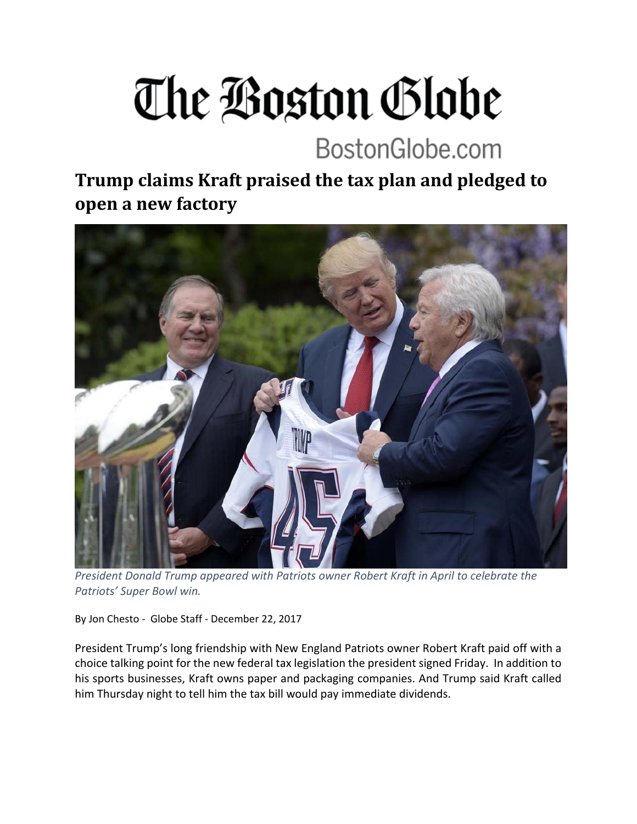## The Boston Globe

## BostonGlobe.com

**Trump claims Kraft praised the tax plan and pledged to open a new factory**



*President Donald Trump appeared with Patriots owner Robert Kraft in April to celebrate the Patriots' Super Bowl win.*

By Jon Chesto ‐ Globe Staff ‐ December 22, 2017

President Trump's long friendship with New England Patriots owner Robert Kraft paid off with a choice talking point for the new federal tax legislation the president signed Friday. In addition to his sports businesses, Kraft owns paper and packaging companies. And Trump said Kraft called him Thursday night to tell him the tax bill would pay immediate dividends.